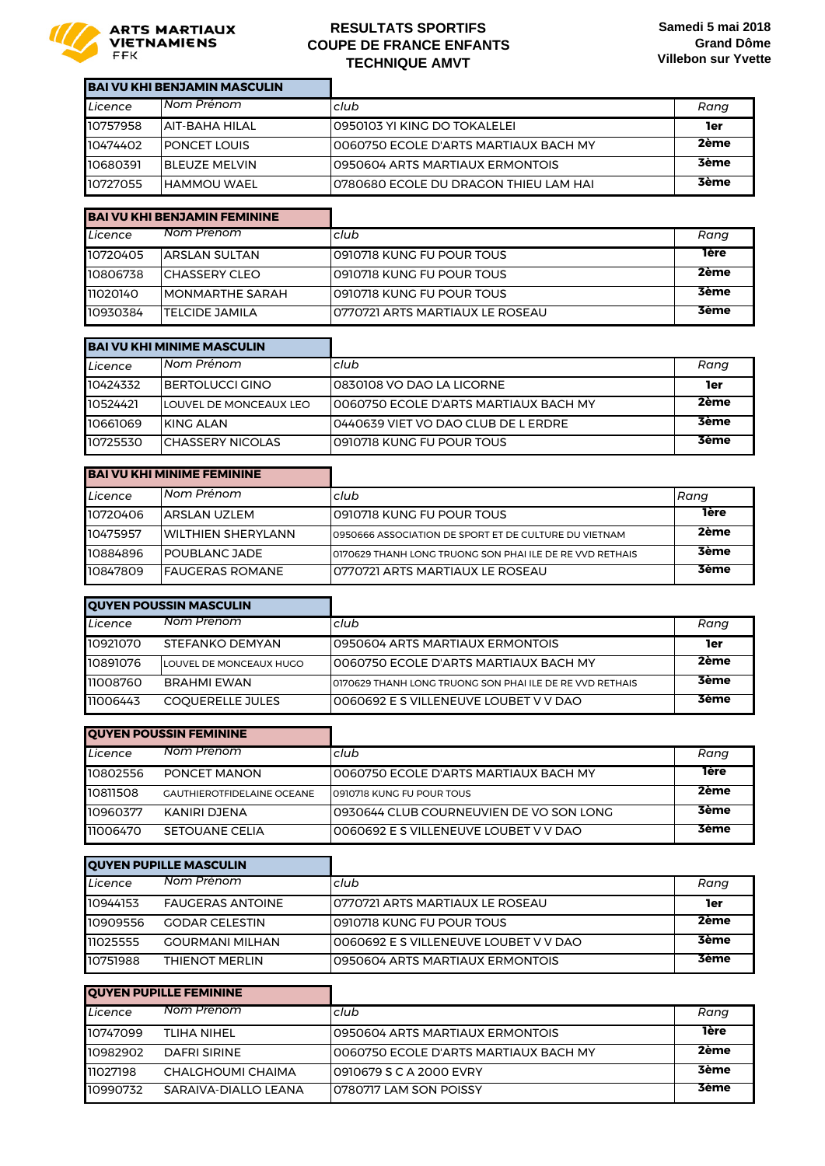

#### **RESULTATS SPORTIFS COUPE DE FRANCE ENFANTS TECHNIQUE AMVT**

| <b>BAI VU KHI BENJAMIN MASCULIN</b> |                       |                                        |             |
|-------------------------------------|-----------------------|----------------------------------------|-------------|
| Licence                             | Nom Prénom            | club                                   | Rang        |
| 10757958                            | IAIT-RAHA HII AI      | 10950103 YI KING DO TOKALELEI          | 1er         |
| 10474402                            | <b>IPONCET LOUIS</b>  | l0060750 ECOLE D'ARTS MARTIAUX BACH MY | 2ème        |
| 10680391                            | <b>IBLEUZE MELVIN</b> | 10950604 ARTS MARTIAUX ERMONTOIS       | <b>3ème</b> |
| 10727055                            | <b>IHAMMOU WAEL</b>   | 10780680 ECOLE DU DRAGON THIEU LAM HAI | <b>3ème</b> |

| <b>BAI VU KHI BENJAMIN FEMININE</b> |                         |                                  |             |
|-------------------------------------|-------------------------|----------------------------------|-------------|
| Licence                             | Nom Prénom              | club                             | Rang        |
| 10720405                            | IARSLAN SULTAN          | 10910718 KUNG FU POUR TOUS       | <b>Tère</b> |
| 10806738                            | ICHASSFRY CLFO          | 10910718 KUNG FU POUR TOUS       | 2ème        |
| 11020140                            | <b>IMONMARTHE SARAH</b> | 10910718 KUNG FU POUR TOUS       | <b>3ème</b> |
| 10930384                            | ITFI CIDE JAMII A       | 10770721 ARTS MARTIAUX LE ROSEAU | <b>3ème</b> |

| <b>BAI VU KHI MINIME MASCULIN</b> |                               |                                        |             |
|-----------------------------------|-------------------------------|----------------------------------------|-------------|
| Licence                           | Nom Prénom                    | club                                   | Rang        |
| 10424332                          | <b>IBERTOLUCCI GINO</b>       | 10830108 VO DAO LA LICORNE             | 1er         |
| 10524421                          | <b>LOUVEL DE MONCEAUX LEO</b> | 10060750 FCOLE D'ARTS MARTIAUX BACH MY | 2ème        |
| 10661069                          | IKING ALAN                    | l0440639 VIET VO DAO CLUB DE L ERDRE   | <b>3ème</b> |
| 10725530                          | <b>ICHASSERY NICOLAS</b>      | 10910718 KUNG FU POUR TOUS             | <b>3ème</b> |

| <b>BAI VU KHI MINIME FEMININE</b> |                           |                                                            |             |
|-----------------------------------|---------------------------|------------------------------------------------------------|-------------|
| Licence                           | l Nom Prénom              | club                                                       | Rang        |
| 10720406                          | <b>ARSLAN UZLEM</b>       | 10910718 KUNG FU POUR TOUS                                 | <b>Tère</b> |
| 10475957                          | <b>WILTHIEN SHERYLANN</b> | 0950666 ASSOCIATION DE SPORT ET DE CULTURE DU VIETNAM      | 2ème        |
| 10884896                          | <b>IPOUBLANC JADE</b>     | I0170629 THANH LONG TRUONG SON PHAI ILE DE RE VVD RETHAIS. | <b>3ème</b> |
| 10847809                          | IFAUGFRAS ROMANF          | I0770721 ARTS MARTIAUX I F ROSFAU                          | <b>3ème</b> |

| <b>QUYEN POUSSIN MASCULIN</b> |                         |                                                           |             |
|-------------------------------|-------------------------|-----------------------------------------------------------|-------------|
| Licence                       | Nom Prénom              | club                                                      | Rang        |
| 10921070                      | STEFANKO DEMYAN         | 10950604 ARTS MARTIAUX ERMONTOIS                          | 1er         |
| 10891076                      | LOUVEL DE MONCEAUX HUGO | I0060750 ECOLE D'ARTS MARTIAUX BACH MY                    | 2ème        |
| 11008760                      | <b>BRAHMI FWAN</b>      | I0170629 THANH LONG TRUONG SON PHAI ILE DE RE VVD RETHAIS | <b>3ème</b> |
| 11006443                      | <b>COOUERELLE JULES</b> | 10060692 E S VILLENEUVE LOUBET V V DAO                    | <b>3ème</b> |

| <b>QUYEN POUSSIN FEMININE</b> |                                   |                                           |             |
|-------------------------------|-----------------------------------|-------------------------------------------|-------------|
| Licence                       | Nom Prénom                        | Iclub                                     | Rang        |
| 10802556                      | PONCET MANON                      | 10060750 ECOLE D'ARTS MARTIAUX BACH MY    | 1ère        |
| 10811508                      | <b>GAUTHIEROTFIDELAINE OCEANE</b> | 10910718 KUNG FU POUR TOUS                | 2ème        |
| 10960377                      | KANIRI DJENA                      | 10930644 CLUB COURNEUVIEN DE VO SON LONG. | <b>3ème</b> |
| 11006470                      | SFTOUANE CELIA                    | I0060692 F.S.VII I ENFUVE LOUBET V V DAO  | <b>3ème</b> |

| <b>QUYEN PUPILLE MASCULIN</b> |                         |                                        |             |
|-------------------------------|-------------------------|----------------------------------------|-------------|
| Licence                       | Nom Prenom              | club                                   | Rang        |
| 10944153                      | <b>FAUGERAS ANTOINE</b> | 10770721 ARTS MARTIAUX LE ROSEAU       | 1er         |
| 10909556                      | <b>GODAR CELESTIN</b>   | 10910718 KUNG FU POUR TOUS             | 2ème        |
| 11025555                      | <b>GOURMANI MILHAN</b>  | 10060692 E S VILLENEUVE LOUBET V V DAO | <b>3ème</b> |
| 10751988                      | THIFNOT MFRIIN          | 10950604 ARTS MARTIAUX FRMONTOIS       | <b>3ème</b> |

| <b>QUYEN PUPILLE FEMININE</b> |                      |                                        |             |
|-------------------------------|----------------------|----------------------------------------|-------------|
| Licence                       | Nom Prénom           | club                                   | Rang        |
| 10747099                      | TI IHA NIHEI         | 10950604 ARTS MARTIAUX ERMONTOIS       | <b>Tère</b> |
| 10982902                      | DAFRI SIRINE         | 10060750 ECOLE D'ARTS MARTIAUX BACH MY | 2ème        |
| 11027198                      | CHALGHOUMI CHAIMA    | 10910679 S C A 2000 EVRY               | <b>3ème</b> |
| 10990732                      | SARAIVA-DIALLO LEANA | 10780717 LAM SON POISSY                | <b>3ème</b> |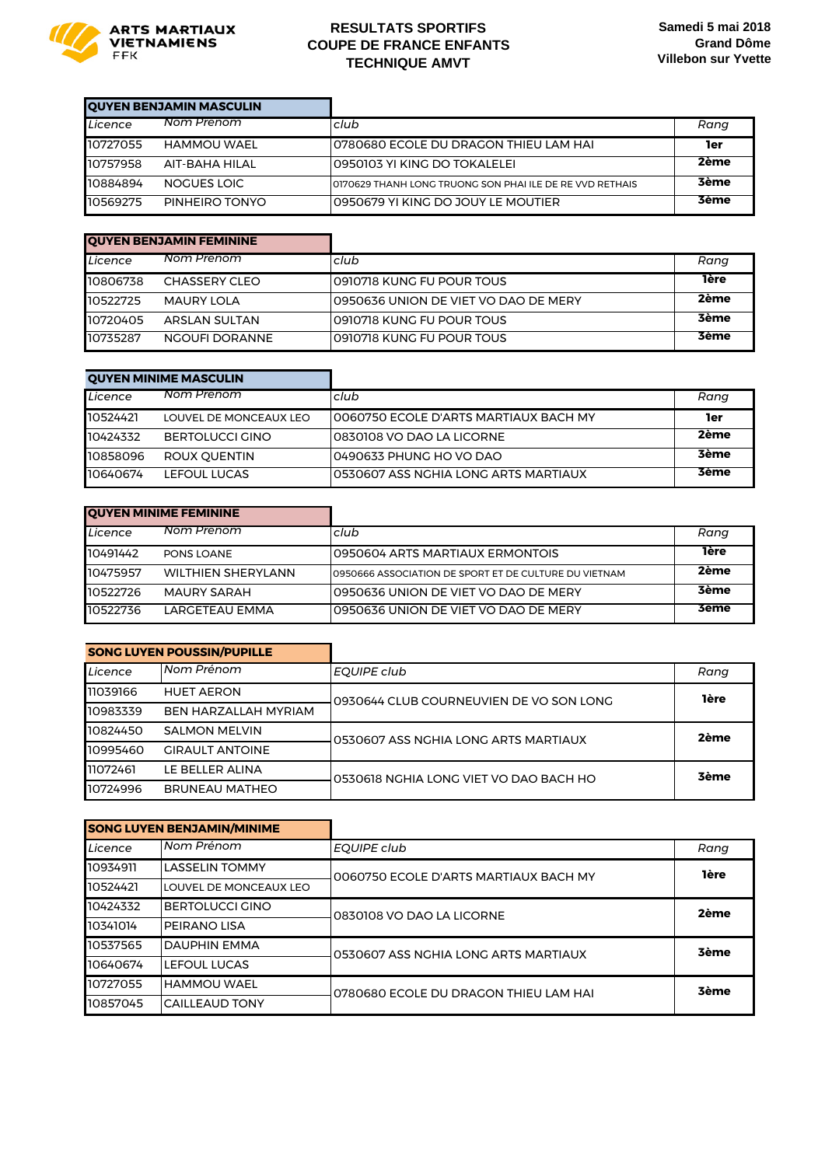

## **RESULTATS SPORTIFS COUPE DE FRANCE ENFANTS TECHNIQUE AMVT**

i.

| <b>QUYEN BENJAMIN MASCULIN</b> |                |                                                            |             |
|--------------------------------|----------------|------------------------------------------------------------|-------------|
| Licence                        | Nom Prénom     | club                                                       | Rang        |
| 10727055                       | HAMMOU WAFI    | 10780680 ECOLE DU DRAGON THIEU LAM HAI                     | 1er         |
| 10757958                       | AIT-BAHA HILAL | l0950103 YI KING DO TOKALELEI                              | 2ème        |
| 10884894                       | NOGUES LOIC    | I0170629 THANH LONG TRUONG SON PHAI ILE DE RE VVD RETHAIS. | <b>3ème</b> |
| 10569275                       | PINHEIRO TONYO | LO950679 YLKING DO JOUY LE MOUTIER                         | <b>3ème</b> |

| <b>OUYEN BENJAMIN FEMININE</b> |                   |                                       |             |
|--------------------------------|-------------------|---------------------------------------|-------------|
| Licence                        | Nom Prénom        | club                                  | Rang        |
| 10806738                       | CHASSERY CLEO     | 10910718 KUNG FU POUR TOUS            | <b>Tère</b> |
| 10522725                       | <b>MAURY LOLA</b> | 10950636 UNION DE VIET VO DAO DE MERY | 2ème        |
| 10720405                       | ARSI AN SUI TAN   | 10910718 KUNG FU POUR TOUS            | <b>3ème</b> |
| 10735287                       | NGOUFI DORANNE    | 10910718 KUNG FU POUR TOUS            | <b>3ème</b> |

| <b>QUYEN MINIME MASCULIN</b> |                        |                                        |             |
|------------------------------|------------------------|----------------------------------------|-------------|
| Licence                      | Nom Prénom             | club                                   | Rang        |
| 10524421                     | LOUVEL DE MONCEAUX LEO | 10060750 ECOLE D'ARTS MARTIAUX BACH MY | 1er         |
| 10424332                     | BERTOI UCCI GINO       | 10830108 VO DAO LA LICORNE             | 2ème        |
| 10858096                     | ROUX OUENTIN           | l0490633 PHUNG HO VO DAO               | <b>3ème</b> |
| 10640674                     | LEFOUL LUCAS           | 10530607 ASS NGHIA LONG ARTS MARTIAUX  | <b>3ème</b> |

| <b>QUYEN MINIME FEMININE</b> |                           |                                                       |             |
|------------------------------|---------------------------|-------------------------------------------------------|-------------|
| Licence                      | Nom Prénom                | club                                                  | Rang        |
| 10491442                     | <b>PONS LOANE</b>         | 10950604 ARTS MARTIAUX ERMONTOIS                      | <b>Tère</b> |
| 10475957                     | <b>WILTHIEN SHERYLANN</b> | 0950666 ASSOCIATION DE SPORT ET DE CULTURE DU VIETNAM | 2ème        |
| 10522726                     | <b>MAURY SARAH</b>        | 0950636 UNION DE VIET VO DAO DE MERY                  | <b>3ème</b> |
| 10522736                     | <b>LARGFTFAU FMMA</b>     | 10950636 UNION DE VIFT VO DAO DE MERY                 | 3ème        |

|          | <b>SONG LUYEN POUSSIN/PUPILLE</b> |                                         |             |
|----------|-----------------------------------|-----------------------------------------|-------------|
| Licence  | Nom Prénom                        | EOUIPE club                             | Rang        |
| 11039166 | <b>HUET AERON</b>                 | 0930644 CLUB COURNEUVIEN DE VO SON LONG | <b>lère</b> |
| 10983339 | <b>BEN HARZALLAH MYRIAM</b>       |                                         |             |
| 10824450 | <b>SALMON MELVIN</b>              | 0530607 ASS NGHIA LONG ARTS MARTIAUX    | 2ème        |
|          |                                   |                                         |             |
| 10995460 | <b>GIRAULT ANTOINE</b>            |                                         |             |
| 11072461 | LE BELLER ALINA                   | 0530618 NGHIA LONG VIET VO DAO BACH HO  | <b>3ème</b> |

|          | <b>SONG LUYEN BENJAMIN/MINIME</b> |                                       |             |
|----------|-----------------------------------|---------------------------------------|-------------|
| Licence  | Nom Prénom                        | EOUIPE club                           | Rang        |
| 10934911 | <b>LASSELIN TOMMY</b>             | 0060750 ECOLE D'ARTS MARTIAUX BACH MY | <b>1ère</b> |
| 10524421 | LOUVEL DE MONCEAUX LEO            |                                       |             |
| 10424332 | <b>BERTOLUCCI GINO</b>            | 0830108 VO DAO LA LICORNE             | 2ème        |
| 10341014 | <b>PEIRANO LISA</b>               |                                       |             |
| 10537565 | <b>DAUPHIN EMMA</b>               | 0530607 ASS NGHIA LONG ARTS MARTIAUX  | <b>3ème</b> |
| 10640674 | LEFOUL LUCAS                      |                                       |             |
| 10727055 | IHAMMOU WAEL                      | 0780680 ECOLE DU DRAGON THIEU LAM HAI | <b>3ème</b> |
| 10857045 | <b>CAILLEAUD TONY</b>             |                                       |             |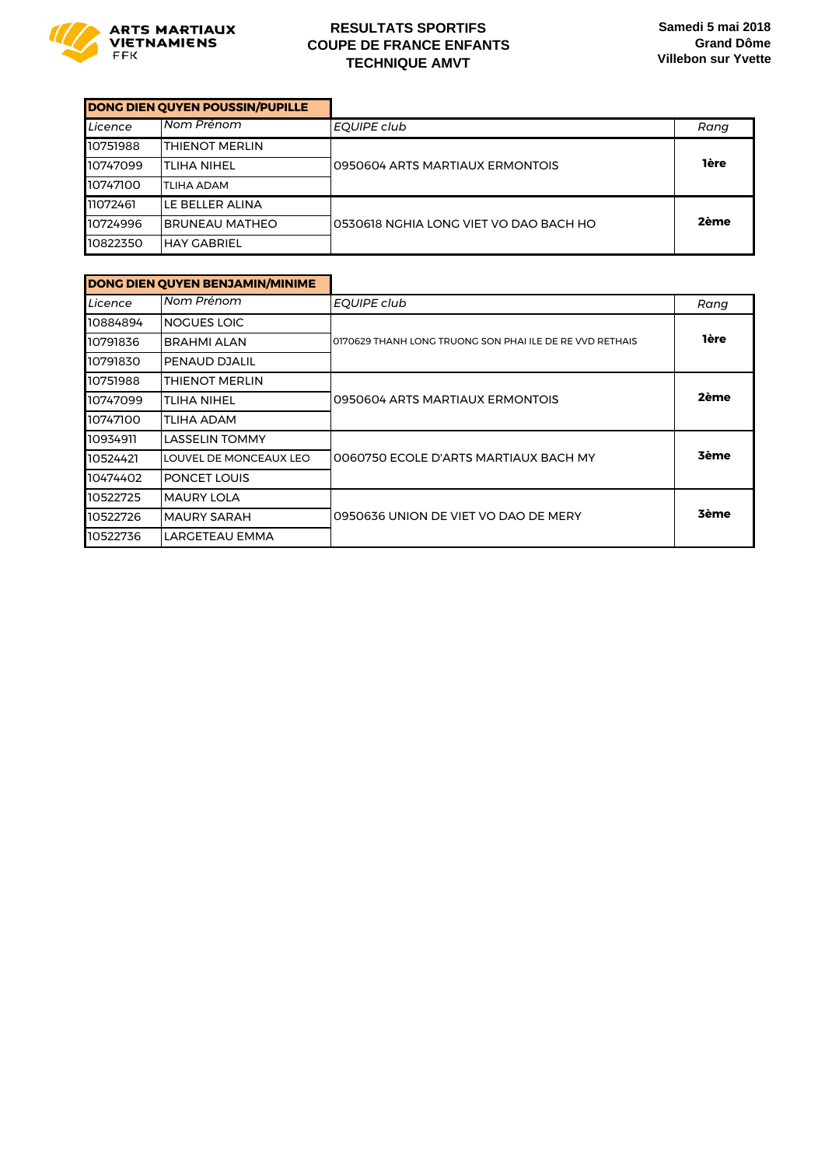

#### **RESULTATS SPORTIFS COUPE DE FRANCE ENFANTS TECHNIQUE AMVT**

|          | DONG DIEN QUYEN POUSSIN/PUPILLE |                                        |             |
|----------|---------------------------------|----------------------------------------|-------------|
| Licence  | Nom Prénom                      | EOUIPE club                            | Rang        |
| 10751988 | <b>THIENOT MERLIN</b>           |                                        |             |
| 10747099 | <b>TLIHA NIHEL</b>              | 0950604 ARTS MARTIAUX ERMONTOIS        | <b>1ère</b> |
| 10747100 | ITLIHA ADAM                     |                                        |             |
| 11072461 | LE BELLER ALINA                 |                                        |             |
| 10724996 | <b>IBRUNEAU MATHEO</b>          | 0530618 NGHIA LONG VIET VO DAO BACH HO | 2ème        |
| 10822350 | HAY GABRIEL                     |                                        |             |

|          | DONG DIEN QUYEN BENJAMIN/MINIME |                                                          |             |
|----------|---------------------------------|----------------------------------------------------------|-------------|
| Licence  | Nom Prénom                      | EQUIPE club                                              | Rang        |
| 10884894 | <b>NOGUES LOIC</b>              |                                                          |             |
| 10791836 | <b>BRAHMI ALAN</b>              | 0170629 THANH LONG TRUONG SON PHAI ILE DE RE VVD RETHAIS | <b>1ère</b> |
| 10791830 | <b>PENAUD DJALIL</b>            |                                                          |             |
| 10751988 | <b>THIENOT MERLIN</b>           |                                                          |             |
| 10747099 | <b>TLIHA NIHEL</b>              | 0950604 ARTS MARTIAUX ERMONTOIS                          | 2ème        |
| 10747100 | TLIHA ADAM                      |                                                          |             |
| 10934911 | <b>LASSELIN TOMMY</b>           |                                                          |             |
| 10524421 | LOUVEL DE MONCEAUX LEO          | 0060750 ECOLE D'ARTS MARTIAUX BACH MY                    | <b>3ème</b> |
| 10474402 | <b>PONCET LOUIS</b>             |                                                          |             |
| 10522725 | <b>MAURY LOLA</b>               |                                                          |             |
| 10522726 | <b>MAURY SARAH</b>              | 0950636 UNION DE VIET VO DAO DE MERY                     | <b>3ème</b> |
| 10522736 | LARGETEAU EMMA                  |                                                          |             |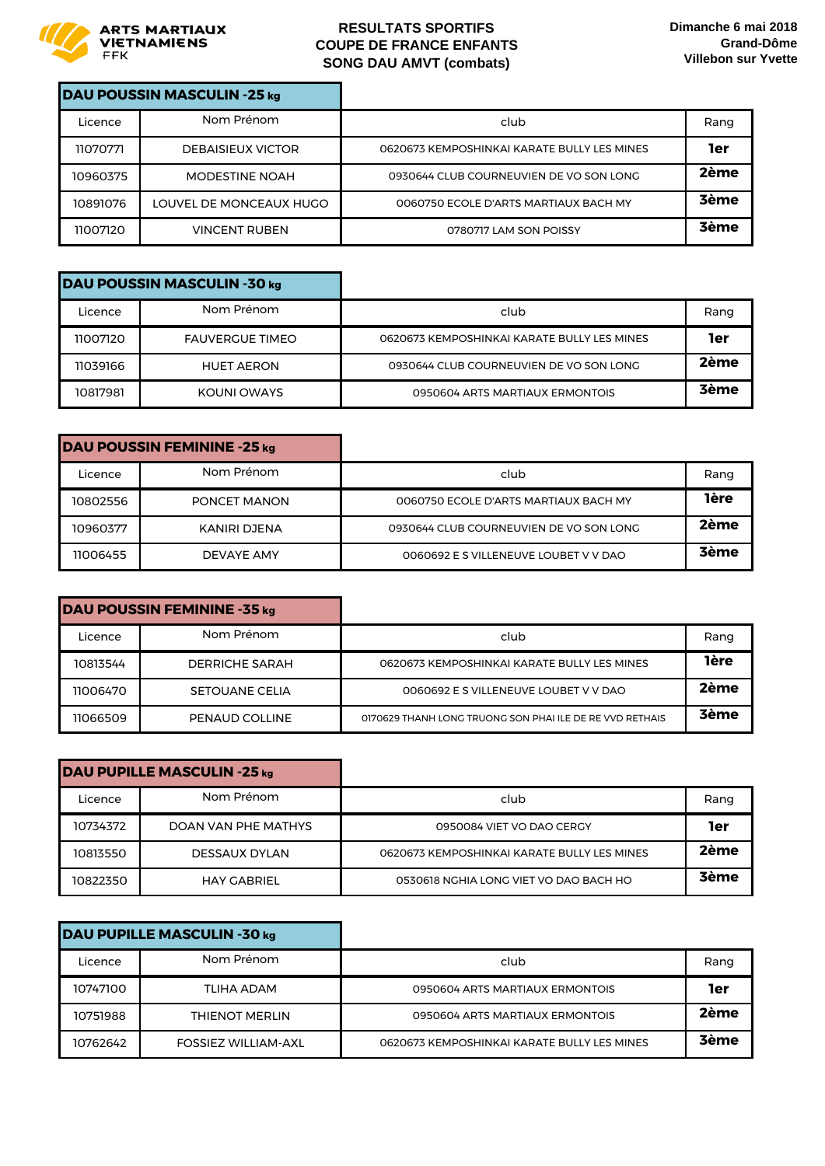

|          | DAU POUSSIN MASCULIN -25 kg |                                             |             |
|----------|-----------------------------|---------------------------------------------|-------------|
| Licence  | Nom Prénom                  | club                                        | Rang        |
| 11070771 | <b>DEBAISIEUX VICTOR</b>    | 0620673 KEMPOSHINKAI KARATE BULLY LES MINES | 1er         |
| 10960375 | <b>MODESTINE NOAH</b>       | 0930644 CLUB COURNEUVIEN DE VO SON LONG     | 2ème        |
| 10891076 | LOUVEL DE MONCEAUX HUGO     | 0060750 ECOLE D'ARTS MARTIAUX BACH MY       | <b>3ème</b> |
| 11007120 | <b>VINCENT RUBEN</b>        | 0780717 LAM SON POISSY                      | <b>3ème</b> |

|          | DAU POUSSIN MASCULIN -30 kg |                                             |             |
|----------|-----------------------------|---------------------------------------------|-------------|
| Licence  | Nom Prénom                  | club                                        | Rang        |
| 11007120 | <b>FAUVERGUE TIMEO</b>      | 0620673 KEMPOSHINKAI KARATE BULLY LES MINES | 1er         |
| 11039166 | <b>HUET AERON</b>           | 0930644 CLUB COURNEUVIEN DE VO SON LONG     | 2ème        |
| 10817981 | KOUNI OWAYS                 | 0950604 ARTS MARTIAUX ERMONTOIS             | <b>3ème</b> |

| DAU POUSSIN FEMININE -25 kg |              |                                         |             |
|-----------------------------|--------------|-----------------------------------------|-------------|
| Licence                     | Nom Prénom   | club                                    | Rang        |
| 10802556                    | PONCET MANON | 0060750 ECOLE D'ARTS MARTIAUX BACH MY   | <b>1ère</b> |
| 10960377                    | KANIRI DJENA | 0930644 CLUB COURNEUVIEN DE VO SON LONG | 2ème        |
| 11006455                    | DEVAYE AMY   | 0060692 E S VILLENEUVE LOUBET V V DAO   | <b>3ème</b> |

|          | DAU POUSSIN FEMININE -35 kg |                                                         |             |
|----------|-----------------------------|---------------------------------------------------------|-------------|
| Licence  | Nom Prénom                  | club                                                    | Rang        |
| 10813544 | DERRICHE SARAH              | 0620673 KEMPOSHINKAI KARATE BULLY LES MINES             | <b>lère</b> |
| 11006470 | <b>SETOUANE CELIA</b>       | 0060692 E S VILLENEUVE LOUBET V V DAO                   | 2ème        |
| 11066509 | PENAUD COLLINE              | 0170629 THANH LONG TRUONG SON PHALILE DE RE VVD RETHAIS | <b>3ème</b> |

| DAU PUPILLE MASCULIN -25 kg |                      |                                             |             |
|-----------------------------|----------------------|---------------------------------------------|-------------|
| Licence                     | Nom Prénom           | club                                        | Rang        |
| 10734372                    | DOAN VAN PHE MATHYS  | 0950084 VIET VO DAO CERGY                   | 1er         |
| 10813550                    | <b>DESSAUX DYLAN</b> | 0620673 KEMPOSHINKAI KARATE BULLY LES MINES | 2ème        |
| 10822350                    | <b>HAY GABRIFI</b>   | 0530618 NGHIA LONG VIET VO DAO BACH HO      | <b>3ème</b> |

| DAU PUPILLE MASCULIN -30 kg |                            |                                             |             |
|-----------------------------|----------------------------|---------------------------------------------|-------------|
| Licence                     | Nom Prénom                 | club                                        | Rang        |
| 10747100                    | TLIHA ADAM                 | 0950604 ARTS MARTIAUX ERMONTOIS             | 1er         |
| 10751988                    | <b>THIENOT MERLIN</b>      | 0950604 ARTS MARTIAUX ERMONTOIS             | 2ème        |
| 10762642                    | <b>FOSSIEZ WILLIAM-AXL</b> | 0620673 KEMPOSHINKAI KARATE BULLY LES MINES | <b>3ème</b> |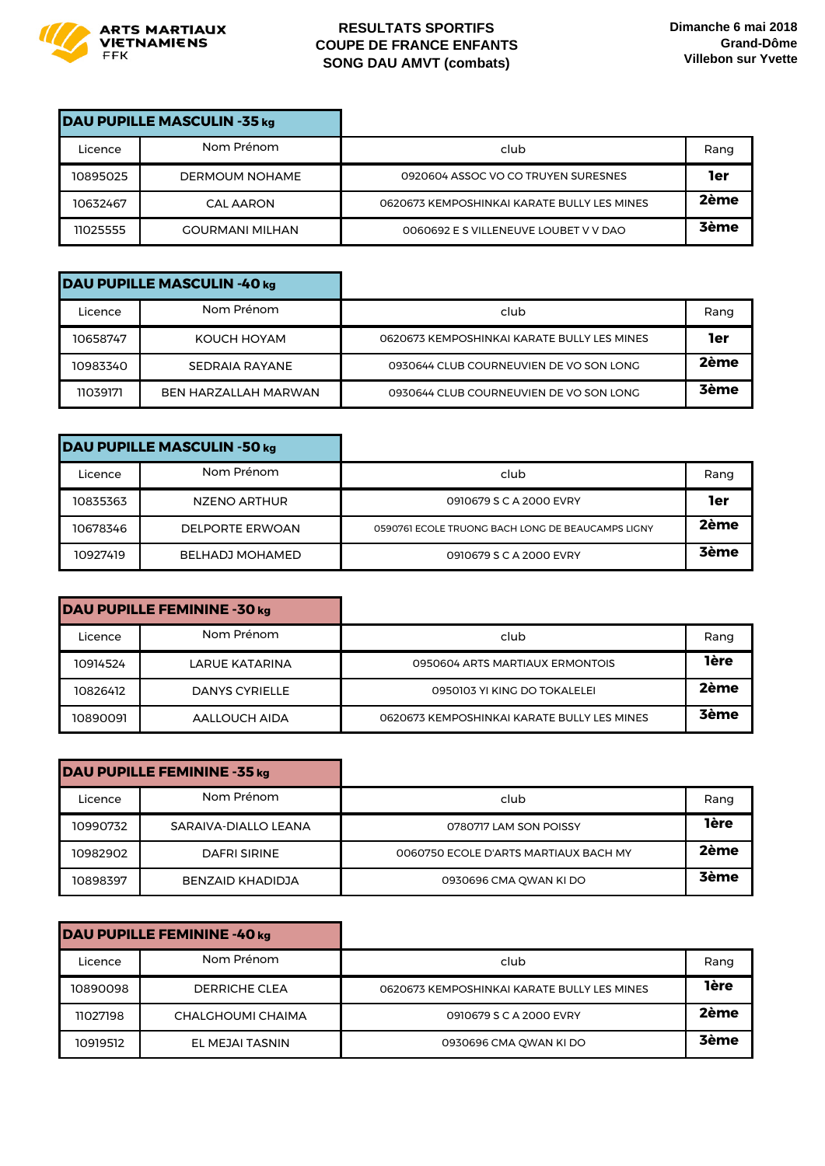

| DAU PUPILLE MASCULIN -35 kg |                        |                                             |             |
|-----------------------------|------------------------|---------------------------------------------|-------------|
| Licence                     | Nom Prénom             | club                                        | Rang        |
| 10895025                    | <b>DERMOUM NOHAME</b>  | 0920604 ASSOC VO CO TRUYEN SURESNES         | 1er         |
| 10632467                    | <b>CAL AARON</b>       | 0620673 KEMPOSHINKAI KARATE BULLY LES MINES | 2ème        |
| 11025555                    | <b>GOURMANI MILHAN</b> | 0060692 E S VILLENEUVE LOUBET V V DAO       | <b>3ème</b> |

|          | DAU PUPILLE MASCULIN -40 kg |                                             |             |
|----------|-----------------------------|---------------------------------------------|-------------|
| Licence  | Nom Prénom                  | club                                        | Rang        |
| 10658747 | KOUCH HOYAM                 | 0620673 KEMPOSHINKAI KARATE BULLY LES MINES | 1er         |
| 10983340 | SEDRAIA RAYANE              | 0930644 CLUB COURNEUVIEN DE VO SON LONG     | 2ème        |
| 11039171 | <b>BEN HARZALLAH MARWAN</b> | 0930644 CLUB COURNEUVIEN DE VO SON LONG     | <b>3ème</b> |

| DAU PUPILLE MASCULIN -50 kg |                        |                                                   |             |
|-----------------------------|------------------------|---------------------------------------------------|-------------|
| Licence                     | Nom Prénom             | club                                              | Rang        |
| 10835363                    | NZENO ARTHUR           | 0910679 S C A 2000 EVRY                           | 1er         |
| 10678346                    | <b>DELPORTE ERWOAN</b> | 0590761 ECOLE TRUONG BACH LONG DE BEAUCAMPS LIGNY | 2ème        |
| 10927419                    | <b>BELHADJ MOHAMED</b> | 0910679 S C A 2000 EVRY                           | <b>3ème</b> |

| club                                        | Rang        |
|---------------------------------------------|-------------|
| 0950604 ARTS MARTIAUX ERMONTOIS             | <b>lère</b> |
| 0950103 YI KING DO TOKALELEI                | 2ème        |
| 0620673 KEMPOSHINKAI KARATE BULLY LES MINES | <b>3ème</b> |

| DAU PUPILLE FEMININE -35 kg |                      |                                       |             |
|-----------------------------|----------------------|---------------------------------------|-------------|
| Licence                     | Nom Prénom           | club                                  | Rang        |
| 10990732                    | SARAIVA-DIALLO LEANA | 0780717 LAM SON POISSY                | <b>1ère</b> |
| 10982902                    | DAFRI SIRINE         | 0060750 ECOLE D'ARTS MARTIAUX BACH MY | 2ème        |
| 10898397                    | BENZAID KHADIDJA     | 0930696 CMA OWAN KI DO                | <b>3ème</b> |

|          | DAU PUPILLE FEMININE -40 kg |                                             |             |
|----------|-----------------------------|---------------------------------------------|-------------|
| Licence  | Nom Prénom                  | club                                        | Rang        |
| 10890098 | DERRICHE CLEA               | 0620673 KEMPOSHINKAI KARATE BULLY LES MINES | <b>lère</b> |
| 11027198 | CHALGHOUMI CHAIMA           | 0910679 S C A 2000 EVRY                     | 2ème        |
| 10919512 | EL MEJAI TASNIN             | 0930696 CMA QWAN KI DO                      | <b>3ème</b> |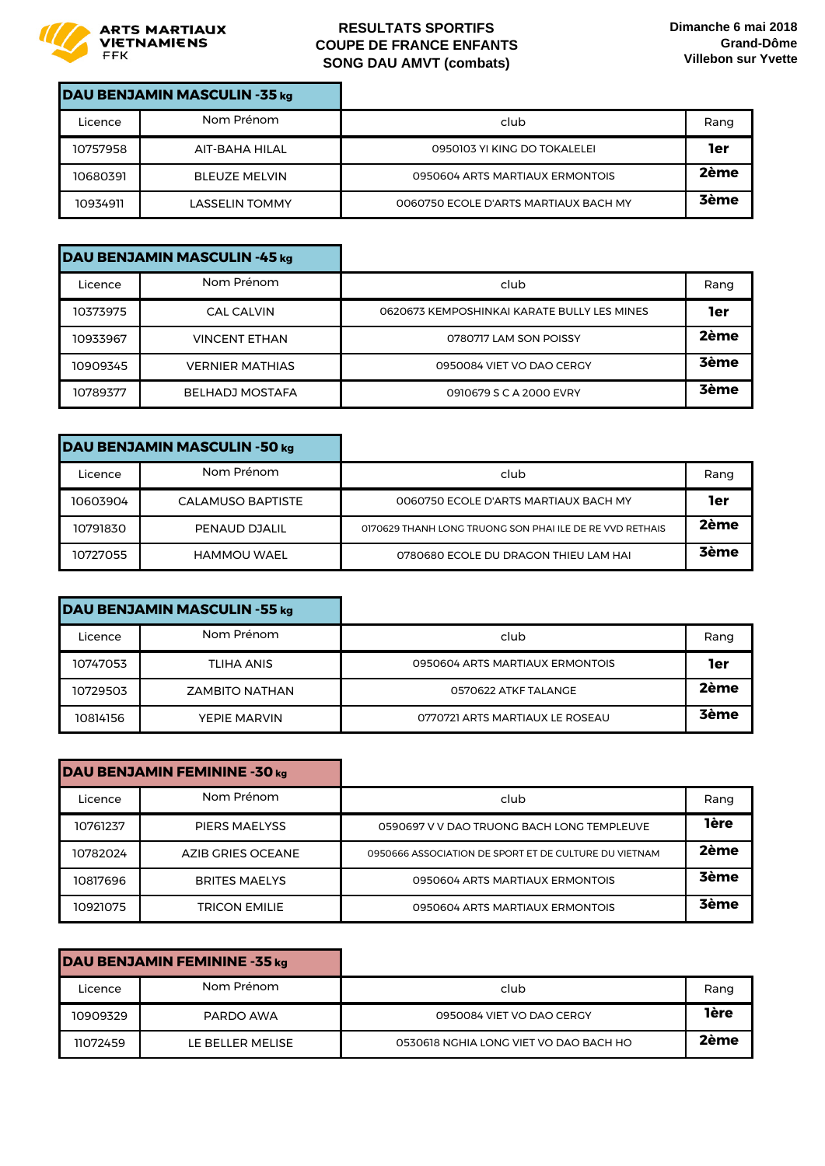

| DAU BENJAMIN MASCULIN -35 kg |                       |                                       |             |
|------------------------------|-----------------------|---------------------------------------|-------------|
| Licence                      | Nom Prénom            | club                                  | Rang        |
| 10757958                     | AIT-BAHA HILAL        | 0950103 YI KING DO TOKALELEI          | 1er         |
| 10680391                     | <b>BLEUZE MELVIN</b>  | 0950604 ARTS MARTIAUX ERMONTOIS       | 2ème        |
| 10934911                     | <b>LASSELIN TOMMY</b> | 0060750 ECOLE D'ARTS MARTIAUX BACH MY | <b>3ème</b> |

| DAU BENJAMIN MASCULIN -45 kg |                        |                                             |             |
|------------------------------|------------------------|---------------------------------------------|-------------|
| Licence                      | Nom Prénom             | club                                        | Rang        |
| 10373975                     | CAL CALVIN             | 0620673 KEMPOSHINKAI KARATE BULLY LES MINES | 1er         |
| 10933967                     | <b>VINCENT ETHAN</b>   | 0780717 LAM SON POISSY                      | 2ème        |
| 10909345                     | <b>VERNIER MATHIAS</b> | 0950084 VIET VO DAO CERGY                   | <b>3ème</b> |
| 10789377                     | <b>BELHADJ MOSTAFA</b> | 0910679 S C A 2000 EVRY                     | <b>3ème</b> |

|          | DAU BENJAMIN MASCULIN -50 kg |                                                          |             |
|----------|------------------------------|----------------------------------------------------------|-------------|
| Licence  | Nom Prénom                   | club                                                     | Rang        |
| 10603904 | <b>CALAMUSO BAPTISTE</b>     | 0060750 ECOLE D'ARTS MARTIAUX BACH MY                    | 1er         |
| 10791830 | PENAUD DJALIL                | 0170629 THANH LONG TRUONG SON PHAI ILE DE RE VVD RETHAIS | 2ème        |
| 10727055 | <b>HAMMOU WAEL</b>           | 0780680 ECOLE DU DRAGON THIEU LAM HAI                    | <b>3ème</b> |

|          | DAU BENJAMIN MASCULIN -55 kg |                                 |      |
|----------|------------------------------|---------------------------------|------|
| Licence  | Nom Prénom                   | club                            | Rang |
| 10747053 | <b>TLIHA ANIS</b>            | 0950604 ARTS MARTIAUX ERMONTOIS | 1er  |
| 10729503 | <b>ZAMBITO NATHAN</b>        | 0570622 ATKF TALANGE            | 2ème |
| 10814156 | YEPIE MARVIN                 | 0770721 ARTS MARTIAUX LE ROSEAU | 3ème |

|          | DAU BENJAMIN FEMININE -30 kg |                                                       |             |
|----------|------------------------------|-------------------------------------------------------|-------------|
| Licence  | Nom Prénom                   | club                                                  | Rang        |
| 10761237 | <b>PIERS MAELYSS</b>         | 0590697 V V DAO TRUONG BACH LONG TEMPLEUVE            | <b>lère</b> |
| 10782024 | AZIB GRIES OCEANE            | 0950666 ASSOCIATION DE SPORT ET DE CULTURE DU VIETNAM | 2ème        |
| 10817696 | <b>BRITES MAELYS</b>         | 0950604 ARTS MARTIAUX ERMONTOIS                       | <b>3ème</b> |
| 10921075 | <b>TRICON EMILIE</b>         | 0950604 ARTS MARTIAUX ERMONTOIS                       | <b>3ème</b> |

| DAU BENJAMIN FEMININE -35 kg |                  |                                        |             |
|------------------------------|------------------|----------------------------------------|-------------|
| Licence                      | Nom Prénom       | club                                   | Rang        |
| 10909329                     | PARDO AWA        | 0950084 VIET VO DAO CERGY              | <b>1ère</b> |
| 11072459                     | LE BELLER MELISE | 0530618 NGHIA LONG VIET VO DAO BACH HO | 2ème        |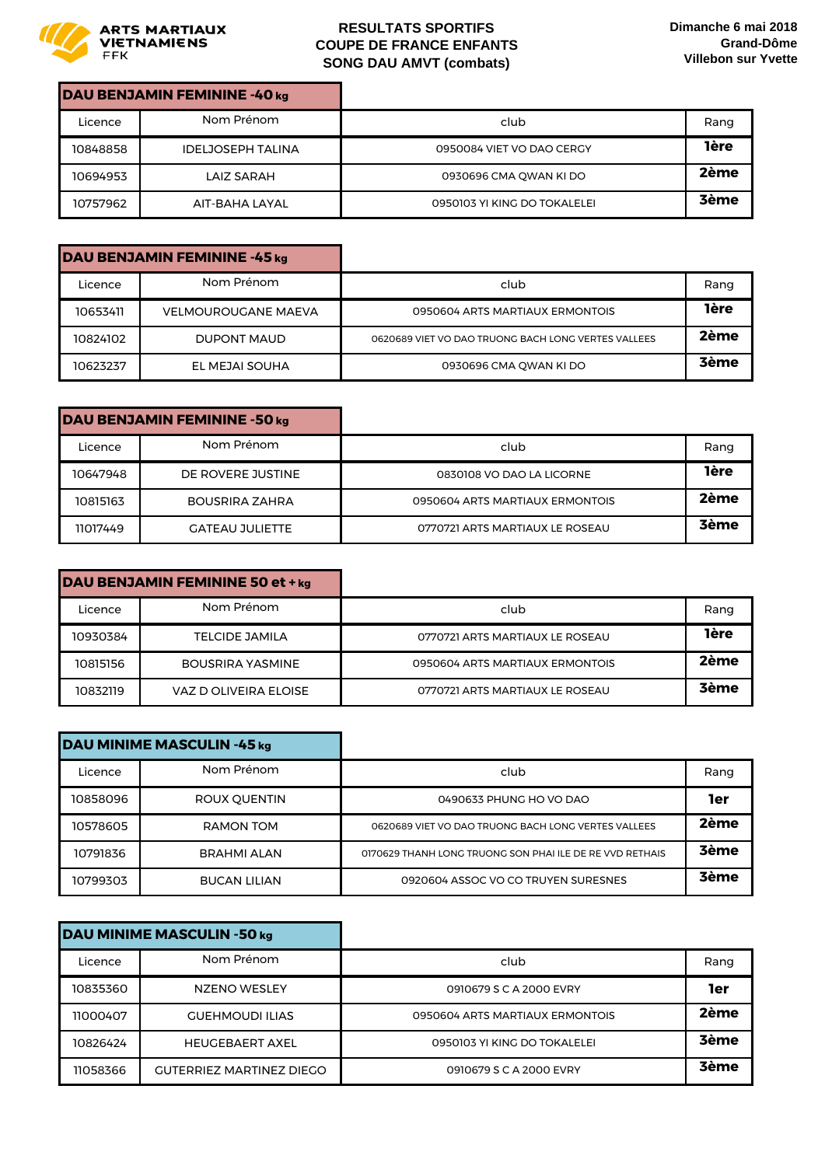

| DAU BENJAMIN FEMININE -40 kg |                          |                              |             |
|------------------------------|--------------------------|------------------------------|-------------|
| Licence                      | Nom Prénom               | club                         | Rang        |
| 10848858                     | <b>IDELJOSEPH TALINA</b> | 0950084 VIET VO DAO CERGY    | <b>1ère</b> |
| 10694953                     | LAIZ SARAH               | 0930696 CMA QWAN KI DO       | 2ème        |
| 10757962                     | AIT-BAHA LAYAL           | 0950103 YI KING DO TOKALELEI | <b>3ème</b> |

|          | DAU BENJAMIN FEMININE -45 kg |                                                     |             |
|----------|------------------------------|-----------------------------------------------------|-------------|
| Licence  | Nom Prénom                   | club                                                | Rang        |
| 10653411 | <b>VELMOUROUGANE MAEVA</b>   | 0950604 ARTS MARTIAUX ERMONTOIS                     | <b>1ère</b> |
| 10824102 | DUPONT MAUD                  | 0620689 VIET VO DAO TRUONG BACH LONG VERTES VALLEES | 2ème        |
| 10623237 | EL MEJAI SOUHA               | 0930696 CMA OWAN KI DO                              | <b>3ème</b> |

|          | DAU BENJAMIN FEMININE -50 kg |                                 |             |
|----------|------------------------------|---------------------------------|-------------|
| Licence  | Nom Prénom                   | club                            | Rang        |
| 10647948 | DE ROVERE JUSTINE            | 0830108 VO DAO LA LICORNE       | <b>1ère</b> |
| 10815163 | <b>BOUSRIRA ZAHRA</b>        | 0950604 ARTS MARTIAUX ERMONTOIS | 2ème        |
| 11017449 | <b>GATEAU JULIETTE</b>       | 0770721 ARTS MARTIAUX LE ROSEAU | <b>3ème</b> |

| DAU BENJAMIN FEMININE 50 et + kg |                         |                                 |             |
|----------------------------------|-------------------------|---------------------------------|-------------|
| Licence                          | Nom Prénom              | club                            | Rang        |
| 10930384                         | TELCIDE JAMILA          | 0770721 ARTS MARTIAUX LE ROSEAU | <b>1ère</b> |
| 10815156                         | <b>BOUSRIRA YASMINE</b> | 0950604 ARTS MARTIAUX ERMONTOIS | 2ème        |
| 10832119                         | VAZ D OLIVEIRA ELOISE   | 0770721 ARTS MARTIAUX LE ROSEAU | <b>3ème</b> |

| DAU MINIME MASCULIN -45 kg |                     |                                                          |             |
|----------------------------|---------------------|----------------------------------------------------------|-------------|
| Licence                    | Nom Prénom          | club                                                     | Rang        |
| 10858096                   | ROUX OUENTIN        | 0490633 PHUNG HO VO DAO                                  | 1er         |
| 10578605                   | RAMON TOM           | 0620689 VIET VO DAO TRUONG BACH LONG VERTES VALLEES      | 2ème        |
| 10791836                   | <b>BRAHMI ALAN</b>  | 0170629 THANH LONG TRUONG SON PHAI ILE DE RE VVD RETHAIS | <b>3ème</b> |
| 10799303                   | <b>BUCAN LILIAN</b> | 0920604 ASSOC VO CO TRUYEN SURESNES                      | 3ème        |

| DAU MINIME MASCULIN -50 kg |                                 |                                 |             |
|----------------------------|---------------------------------|---------------------------------|-------------|
| Licence                    | Nom Prénom                      | club                            | Rang        |
| 10835360                   | NZENO WESLEY                    | 0910679 S C A 2000 EVRY         | 1er         |
| 11000407                   | <b>GUEHMOUDI ILIAS</b>          | 0950604 ARTS MARTIAUX ERMONTOIS | 2ème        |
| 10826424                   | <b>HEUGEBAERT AXEL</b>          | 0950103 YI KING DO TOKALELEI    | <b>3ème</b> |
| 11058366                   | <b>GUTERRIEZ MARTINEZ DIEGO</b> | 0910679 S C A 2000 EVRY         | <b>3ème</b> |